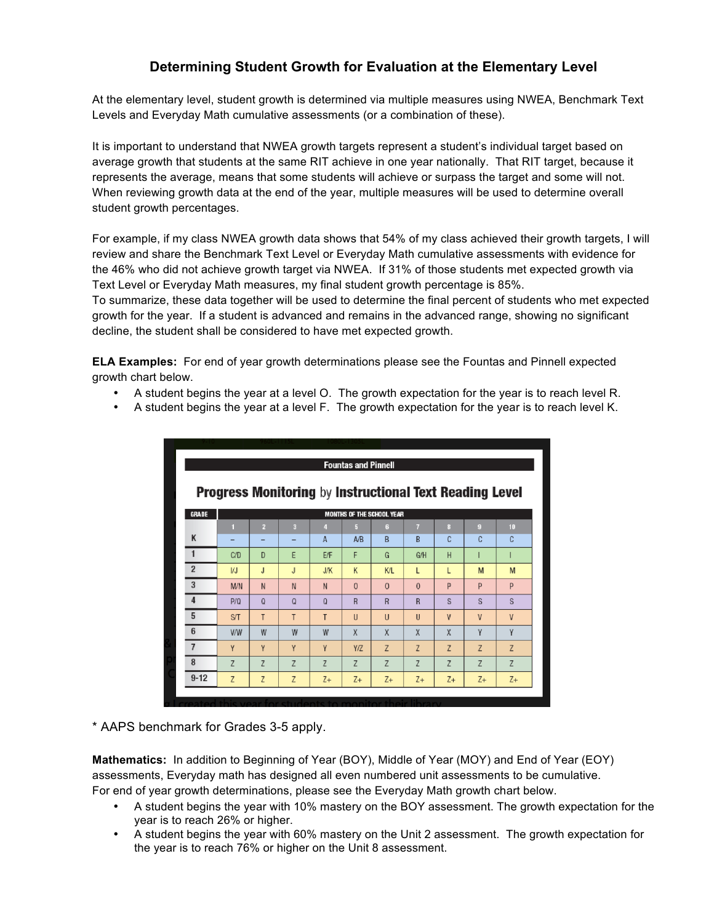## **Determining Student Growth for Evaluation at the Elementary Level**

At the elementary level, student growth is determined via multiple measures using NWEA, Benchmark Text Levels and Everyday Math cumulative assessments (or a combination of these).

It is important to understand that NWEA growth targets represent a student's individual target based on average growth that students at the same RIT achieve in one year nationally. That RIT target, because it represents the average, means that some students will achieve or surpass the target and some will not. When reviewing growth data at the end of the year, multiple measures will be used to determine overall student growth percentages.

For example, if my class NWEA growth data shows that 54% of my class achieved their growth targets, I will review and share the Benchmark Text Level or Everyday Math cumulative assessments with evidence for the 46% who did not achieve growth target via NWEA. If 31% of those students met expected growth via Text Level or Everyday Math measures, my final student growth percentage is 85%.

To summarize, these data together will be used to determine the final percent of students who met expected growth for the year. If a student is advanced and remains in the advanced range, showing no significant decline, the student shall be considered to have met expected growth.

**ELA Examples:** For end of year growth determinations please see the Fountas and Pinnell expected growth chart below.

- A student begins the year at a level O. The growth expectation for the year is to reach level R.
- A student begins the year at a level F. The growth expectation for the year is to reach level K.

| <b>Fountas and Pinnell</b>                                     |            |                |          |              |                |                |                |                |              |                |
|----------------------------------------------------------------|------------|----------------|----------|--------------|----------------|----------------|----------------|----------------|--------------|----------------|
| <b>Progress Monitoring by Instructional Text Reading Level</b> |            |                |          |              |                |                |                |                |              |                |
| <b>GRADE</b><br><b>MONTHS OF THE SCHOOL YEAR</b>               |            |                |          |              |                |                |                |                |              |                |
|                                                                | п          | $\overline{2}$ | R        | 4            | ы              | G              | $\overline{7}$ | $\mathbf{a}$   | $\mathbf{Q}$ | 10             |
| K                                                              |            |                | -        | $\mathsf{A}$ | A/B            | B              | B              | C              | C            | C              |
| $\mathbf{1}$                                                   | C/D        | D              | E        | E/F          | F              | G              | G/H            | H              |              |                |
| $\overline{2}$                                                 | VJ         | J              | J        | J/K          | K              | K/L            | L              | L              | M            | M              |
| 3                                                              | <b>M/N</b> | N              | N        | N            | $\theta$       | $\Omega$       | $\mathbf{0}$   | P              | P            | P              |
| $\overline{4}$                                                 | P/Q        | Q              | $\Omega$ | $\Omega$     | $\overline{R}$ | $\overline{R}$ | R              | S              | S            | S              |
| 5                                                              | ST         | T              | T        | T            | $\mathbf{U}$   | $\cup$         | $\mathbf{U}$   | $\mathbf{V}$   | $\mathsf{V}$ | $\mathsf{V}$   |
| $6\phantom{1}6$                                                | <b>V/W</b> | W              | W        | W            | X              | X              | X              | X              | Y            | γ              |
| $\overline{7}$                                                 | Y          | γ              | Y        | Y            | Y/Z            | Z              | Z              | Z              | Z            | Z              |
| 8                                                              | Z          | Z              | Z        | Z            | Z              | Z              | Z              | $\overline{z}$ | Z            | $\overline{z}$ |
| $9 - 12$                                                       | Z          | Z              | Z        | $Z+$         | $Z+$           | $Z+$           | $Z+$           | $Z+$           | $Z+$         | $Z+$           |

\* AAPS benchmark for Grades 3-5 apply.

**Mathematics:** In addition to Beginning of Year (BOY), Middle of Year (MOY) and End of Year (EOY) assessments, Everyday math has designed all even numbered unit assessments to be cumulative. For end of year growth determinations, please see the Everyday Math growth chart below.

- A student begins the year with 10% mastery on the BOY assessment. The growth expectation for the year is to reach 26% or higher.
- A student begins the year with 60% mastery on the Unit 2 assessment. The growth expectation for the year is to reach 76% or higher on the Unit 8 assessment.